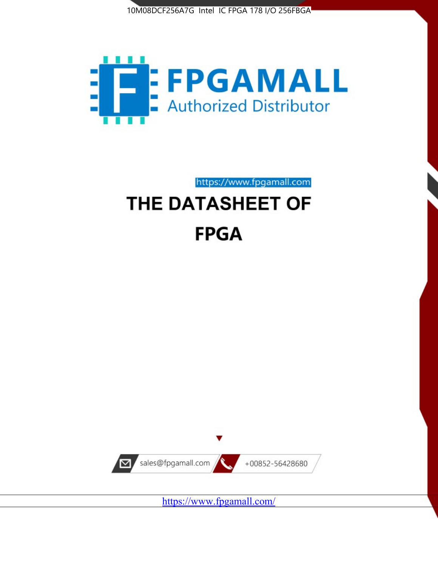



https://www.fpgamall.com THE DATASHEET OF

# **FPGA**



<https://www.fpgamall.com/>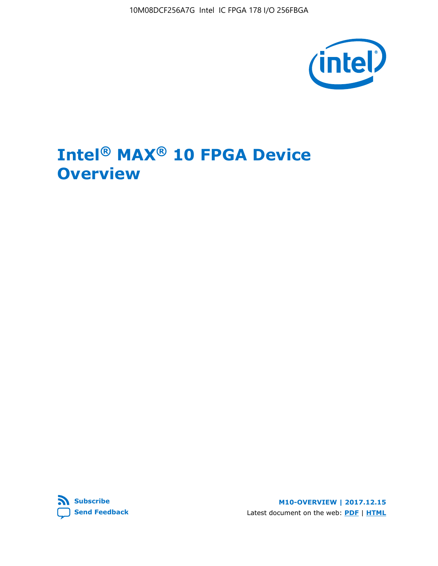10M08DCF256A7G Intel IC FPGA 178 I/O 256FBGA



# **Intel® MAX® 10 FPGA Device Overview**



**M10-OVERVIEW | 2017.12.15** Latest document on the web: **[PDF](https://www.altera.com/en_US/pdfs/literature/hb/max-10/m10_overview.pdf)** | **[HTML](https://www.altera.com/documentation/myt1396938463674.html)**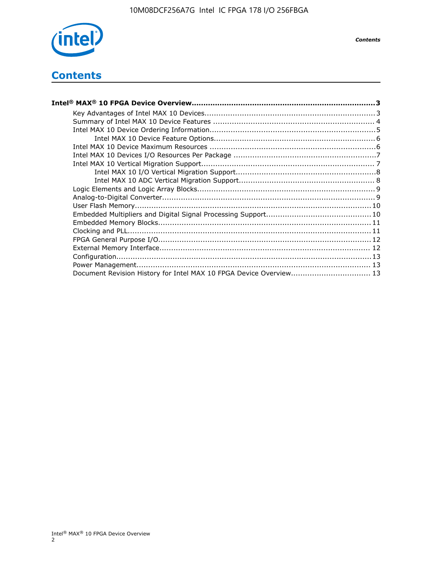

*Contents*

## **Contents**

| Intel® MAX® 10 FPGA Device Overview……………………………………………………………………………3  |  |
|--------------------------------------------------------------------|--|
|                                                                    |  |
|                                                                    |  |
|                                                                    |  |
|                                                                    |  |
|                                                                    |  |
|                                                                    |  |
|                                                                    |  |
|                                                                    |  |
|                                                                    |  |
|                                                                    |  |
|                                                                    |  |
|                                                                    |  |
|                                                                    |  |
|                                                                    |  |
|                                                                    |  |
|                                                                    |  |
|                                                                    |  |
|                                                                    |  |
|                                                                    |  |
| Document Revision History for Intel MAX 10 FPGA Device Overview 13 |  |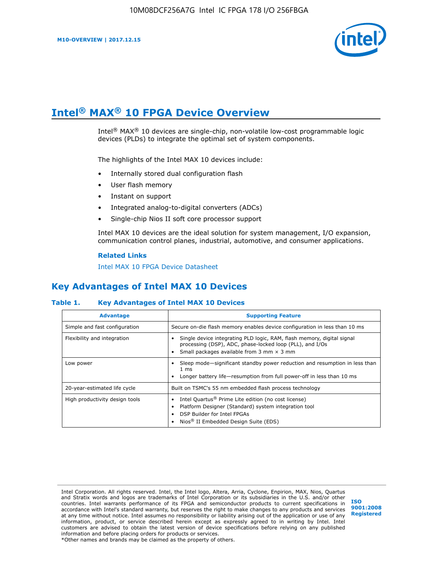

# **Intel® MAX® 10 FPGA Device Overview**

Intel® MAX® 10 devices are single-chip, non-volatile low-cost programmable logic devices (PLDs) to integrate the optimal set of system components.

The highlights of the Intel MAX 10 devices include:

- Internally stored dual configuration flash
- User flash memory
- Instant on support
- Integrated analog-to-digital converters (ADCs)
- Single-chip Nios II soft core processor support

Intel MAX 10 devices are the ideal solution for system management, I/O expansion, communication control planes, industrial, automotive, and consumer applications.

#### **Related Links**

[Intel MAX 10 FPGA Device Datasheet](https://www.altera.com/documentation/mcn1397700832153.html#mcn1397643748870)

## **Key Advantages of Intel MAX 10 Devices**

#### **Table 1. Key Advantages of Intel MAX 10 Devices**

| <b>Advantage</b>               | <b>Supporting Feature</b>                                                                                                                                                                                  |  |  |  |
|--------------------------------|------------------------------------------------------------------------------------------------------------------------------------------------------------------------------------------------------------|--|--|--|
| Simple and fast configuration  | Secure on-die flash memory enables device configuration in less than 10 ms                                                                                                                                 |  |  |  |
| Flexibility and integration    | Single device integrating PLD logic, RAM, flash memory, digital signal<br>processing (DSP), ADC, phase-locked loop (PLL), and I/Os<br>Small packages available from 3 mm $\times$ 3 mm                     |  |  |  |
| Low power                      | Sleep mode—significant standby power reduction and resumption in less than<br>$1 \text{ ms}$<br>Longer battery life—resumption from full power-off in less than 10 ms                                      |  |  |  |
| 20-year-estimated life cycle   | Built on TSMC's 55 nm embedded flash process technology                                                                                                                                                    |  |  |  |
| High productivity design tools | Intel Quartus <sup>®</sup> Prime Lite edition (no cost license)<br>Platform Designer (Standard) system integration tool<br>DSP Builder for Intel FPGAs<br>Nios <sup>®</sup> II Embedded Design Suite (EDS) |  |  |  |

Intel Corporation. All rights reserved. Intel, the Intel logo, Altera, Arria, Cyclone, Enpirion, MAX, Nios, Quartus and Stratix words and logos are trademarks of Intel Corporation or its subsidiaries in the U.S. and/or other countries. Intel warrants performance of its FPGA and semiconductor products to current specifications in accordance with Intel's standard warranty, but reserves the right to make changes to any products and services at any time without notice. Intel assumes no responsibility or liability arising out of the application or use of any information, product, or service described herein except as expressly agreed to in writing by Intel. Intel customers are advised to obtain the latest version of device specifications before relying on any published information and before placing orders for products or services. \*Other names and brands may be claimed as the property of others.

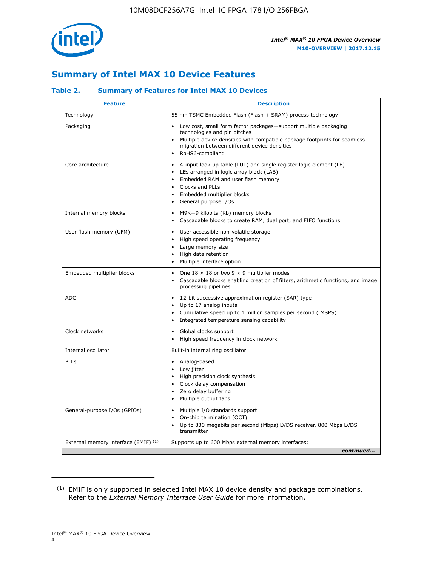

## **Summary of Intel MAX 10 Device Features**

#### **Table 2. Summary of Features for Intel MAX 10 Devices**

| <b>Feature</b>                       | <b>Description</b>                                                                                                                                                                                                                                                                            |
|--------------------------------------|-----------------------------------------------------------------------------------------------------------------------------------------------------------------------------------------------------------------------------------------------------------------------------------------------|
| Technology                           | 55 nm TSMC Embedded Flash (Flash + SRAM) process technology                                                                                                                                                                                                                                   |
| Packaging                            | Low cost, small form factor packages-support multiple packaging<br>$\bullet$<br>technologies and pin pitches<br>Multiple device densities with compatible package footprints for seamless<br>migration between different device densities<br>RoHS6-compliant                                  |
| Core architecture                    | 4-input look-up table (LUT) and single register logic element (LE)<br>$\bullet$<br>LEs arranged in logic array block (LAB)<br>$\bullet$<br>Embedded RAM and user flash memory<br>$\bullet$<br>Clocks and PLLs<br>$\bullet$<br>Embedded multiplier blocks<br>General purpose I/Os<br>$\bullet$ |
| Internal memory blocks               | M9K-9 kilobits (Kb) memory blocks<br>$\bullet$<br>Cascadable blocks to create RAM, dual port, and FIFO functions<br>$\bullet$                                                                                                                                                                 |
| User flash memory (UFM)              | User accessible non-volatile storage<br>$\bullet$<br>High speed operating frequency<br>$\bullet$<br>Large memory size<br>High data retention<br>$\bullet$<br>• Multiple interface option                                                                                                      |
| Embedded multiplier blocks           | One $18 \times 18$ or two 9 $\times$ 9 multiplier modes<br>$\bullet$<br>Cascadable blocks enabling creation of filters, arithmetic functions, and image<br>processing pipelines                                                                                                               |
| <b>ADC</b>                           | 12-bit successive approximation register (SAR) type<br>$\bullet$<br>Up to 17 analog inputs<br>$\bullet$<br>Cumulative speed up to 1 million samples per second (MSPS)<br>Integrated temperature sensing capability<br>$\bullet$                                                               |
| Clock networks                       | Global clocks support<br>$\bullet$<br>High speed frequency in clock network                                                                                                                                                                                                                   |
| Internal oscillator                  | Built-in internal ring oscillator                                                                                                                                                                                                                                                             |
| PLLs                                 | • Analog-based<br>Low jitter<br>$\bullet$<br>• High precision clock synthesis<br>• Clock delay compensation<br>Zero delay buffering<br>$\bullet$<br>• Multiple output taps                                                                                                                    |
| General-purpose I/Os (GPIOs)         | • Multiple I/O standards support<br>On-chip termination (OCT)<br>٠<br>Up to 830 megabits per second (Mbps) LVDS receiver, 800 Mbps LVDS<br>transmitter                                                                                                                                        |
| External memory interface (EMIF) (1) | Supports up to 600 Mbps external memory interfaces:<br>continued                                                                                                                                                                                                                              |
|                                      |                                                                                                                                                                                                                                                                                               |

<sup>(1)</sup> EMIF is only supported in selected Intel MAX 10 device density and package combinations. Refer to the *External Memory Interface User Guide* for more information.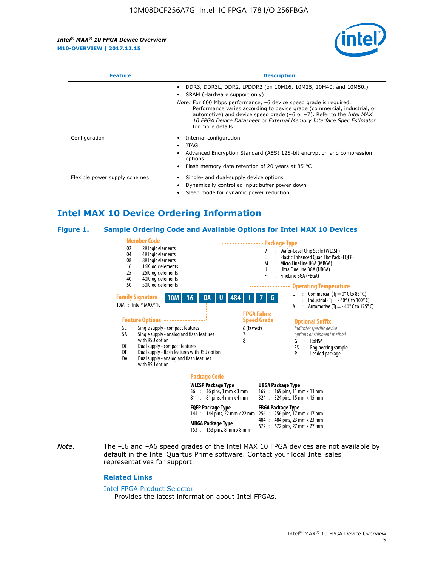

| <b>Feature</b>                | <b>Description</b>                                                                                                                                                                                                                                                                                                          |  |  |  |
|-------------------------------|-----------------------------------------------------------------------------------------------------------------------------------------------------------------------------------------------------------------------------------------------------------------------------------------------------------------------------|--|--|--|
|                               | DDR3, DDR3L, DDR2, LPDDR2 (on 10M16, 10M25, 10M40, and 10M50.)<br>SRAM (Hardware support only)                                                                                                                                                                                                                              |  |  |  |
|                               | <i>Note:</i> For 600 Mbps performance, -6 device speed grade is required.<br>Performance varies according to device grade (commercial, industrial, or<br>automotive) and device speed grade (-6 or -7). Refer to the Intel MAX<br>10 FPGA Device Datasheet or External Memory Interface Spec Estimator<br>for more details. |  |  |  |
| Configuration                 | Internal configuration                                                                                                                                                                                                                                                                                                      |  |  |  |
|                               | JTAG<br>$\bullet$                                                                                                                                                                                                                                                                                                           |  |  |  |
|                               | Advanced Encryption Standard (AES) 128-bit encryption and compression<br>options                                                                                                                                                                                                                                            |  |  |  |
|                               | Flash memory data retention of 20 years at 85 $^{\circ}$ C                                                                                                                                                                                                                                                                  |  |  |  |
| Flexible power supply schemes | Single- and dual-supply device options<br>Dynamically controlled input buffer power down<br>Sleep mode for dynamic power reduction                                                                                                                                                                                          |  |  |  |

## **Intel MAX 10 Device Ordering Information**

#### **Figure 1. Sample Ordering Code and Available Options for Intel MAX 10 Devices**



*Note:* The –I6 and –A6 speed grades of the Intel MAX 10 FPGA devices are not available by default in the Intel Quartus Prime software. Contact your local Intel sales representatives for support.

#### **Related Links**

#### [Intel FPGA Product Selector](http://www.altera.com/products/selector/psg-selector.html)

Provides the latest information about Intel FPGAs.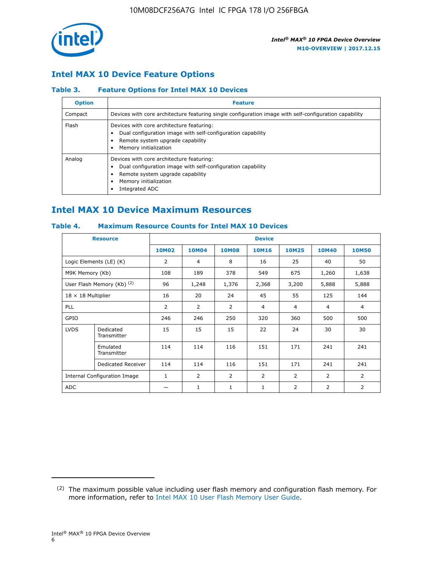

## **Intel MAX 10 Device Feature Options**

#### **Table 3. Feature Options for Intel MAX 10 Devices**

| <b>Option</b> | <b>Feature</b>                                                                                                                                                                          |
|---------------|-----------------------------------------------------------------------------------------------------------------------------------------------------------------------------------------|
| Compact       | Devices with core architecture featuring single configuration image with self-configuration capability                                                                                  |
| Flash         | Devices with core architecture featuring:<br>Dual configuration image with self-configuration capability<br>Remote system upgrade capability<br>Memory initialization                   |
| Analog        | Devices with core architecture featuring:<br>Dual configuration image with self-configuration capability<br>Remote system upgrade capability<br>Memory initialization<br>Integrated ADC |

## **Intel MAX 10 Device Maximum Resources**

#### **Table 4. Maximum Resource Counts for Intel MAX 10 Devices**

| <b>Resource</b>              |                            | <b>Device</b>  |              |              |                |                |              |                |
|------------------------------|----------------------------|----------------|--------------|--------------|----------------|----------------|--------------|----------------|
|                              |                            | <b>10M02</b>   | <b>10M04</b> | <b>10M08</b> | <b>10M16</b>   | <b>10M25</b>   | <b>10M40</b> | <b>10M50</b>   |
|                              | Logic Elements (LE) (K)    | $\overline{2}$ | 4            | 8            | 16             | 25             | 40           | 50             |
| M9K Memory (Kb)              |                            | 108            | 189          | 378          | 549            | 675            | 1,260        | 1,638          |
|                              | User Flash Memory (Kb) (2) | 96             | 1,248        | 1,376        | 2,368          | 3,200          | 5,888        | 5,888          |
| $18 \times 18$ Multiplier    |                            | 16             | 20           | 24           | 45             | 55             | 125          | 144            |
| <b>PLL</b>                   |                            | 2              | 2            | 2            | $\overline{4}$ | $\overline{4}$ | 4            | $\overline{4}$ |
| GPIO                         |                            | 246            | 246          | 250          | 320            | 360            | 500          | 500            |
| <b>LVDS</b>                  | Dedicated<br>Transmitter   | 15             | 15           | 15           | 22             | 24             | 30           | 30             |
|                              | Emulated<br>Transmitter    | 114            | 114          | 116          | 151            | 171            | 241          | 241            |
|                              | Dedicated Receiver         | 114            | 114          | 116          | 151            | 171            | 241          | 241            |
| Internal Configuration Image |                            | $\mathbf{1}$   | 2            | 2            | $\overline{2}$ | 2              | 2            | $\overline{2}$ |
| <b>ADC</b>                   |                            |                | 1            | 1            | $\mathbf{1}$   | 2              | 2            | 2              |

<sup>(2)</sup> The maximum possible value including user flash memory and configuration flash memory. For more information, refer to [Intel MAX 10 User Flash Memory User Guide](https://www.altera.com/documentation/vgo1395753117436.html#vgo1395811844282).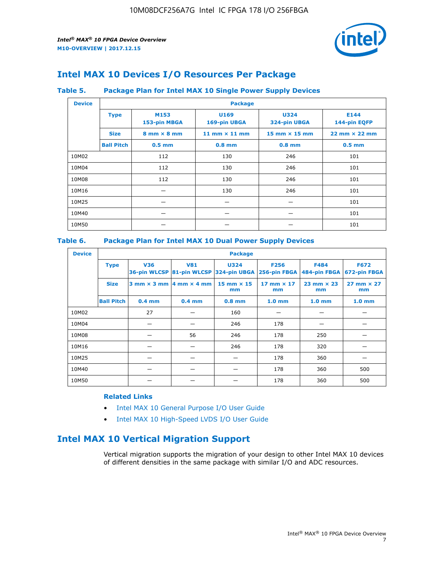

## **Intel MAX 10 Devices I/O Resources Per Package**

#### **Table 5. Package Plan for Intel MAX 10 Single Power Supply Devices**

| <b>Device</b> |                   | <b>Package</b>                     |                      |                                      |                                      |  |  |  |
|---------------|-------------------|------------------------------------|----------------------|--------------------------------------|--------------------------------------|--|--|--|
|               | <b>Type</b>       | M153<br>153-pin MBGA               | U169<br>169-pin UBGA | <b>U324</b><br>324-pin UBGA          | E144<br>144-pin EQFP                 |  |  |  |
|               | <b>Size</b>       | $8 \text{ mm} \times 8 \text{ mm}$ | 11 mm $\times$ 11 mm | $15 \text{ mm} \times 15 \text{ mm}$ | $22 \text{ mm} \times 22 \text{ mm}$ |  |  |  |
|               | <b>Ball Pitch</b> | $0.5$ mm                           | $0.8$ mm             | $0.8$ mm                             | $0.5$ mm                             |  |  |  |
| 10M02         |                   | 112                                | 130                  | 246                                  | 101                                  |  |  |  |
| 10M04         |                   | 112                                | 130                  | 246                                  | 101                                  |  |  |  |
| 10M08         |                   | 112                                | 130                  | 246                                  | 101                                  |  |  |  |
| 10M16         |                   |                                    | 130                  | 246                                  | 101                                  |  |  |  |
| 10M25         |                   |                                    |                      |                                      | 101                                  |  |  |  |
| 10M40         |                   |                                    |                      |                                      | 101                                  |  |  |  |
| 10M50         |                   |                                    |                      |                                      | 101                                  |  |  |  |

#### **Table 6. Package Plan for Intel MAX 10 Dual Power Supply Devices**

| <b>Device</b> |                   | <b>Package</b> |                                            |                                                                    |                         |                           |                             |  |  |
|---------------|-------------------|----------------|--------------------------------------------|--------------------------------------------------------------------|-------------------------|---------------------------|-----------------------------|--|--|
|               | <b>Type</b>       | <b>V36</b>     | <b>V81</b>                                 | <b>U324</b><br>36-pin WLCSP 81-pin WLCSP 324-pin UBGA 256-pin FBGA | <b>F256</b>             | F484<br>484-pin FBGA      | <b>F672</b><br>672-pin FBGA |  |  |
|               | <b>Size</b>       |                | $3$ mm $\times$ 3 mm $ 4$ mm $\times$ 4 mm | $15$ mm $\times$ 15<br>mm                                          | 17 mm $\times$ 17<br>mm | $23$ mm $\times$ 23<br>mm | $27$ mm $\times$ 27<br>mm   |  |  |
|               | <b>Ball Pitch</b> | $0.4$ mm       | $0.4$ mm                                   | $0.8$ mm                                                           | 1.0 <sub>mm</sub>       | 1.0 <sub>mm</sub>         | 1.0 <sub>mm</sub>           |  |  |
| 10M02         |                   | 27             |                                            | 160                                                                |                         |                           |                             |  |  |
| 10M04         |                   |                |                                            | 246                                                                | 178                     |                           |                             |  |  |
| 10M08         |                   |                | 56                                         | 246                                                                | 178                     | 250                       |                             |  |  |
| 10M16         |                   |                |                                            | 246                                                                | 178                     | 320                       |                             |  |  |
| 10M25         |                   |                |                                            |                                                                    | 178                     | 360                       |                             |  |  |
| 10M40         |                   |                |                                            |                                                                    | 178                     | 360                       | 500                         |  |  |
| 10M50         |                   |                |                                            |                                                                    | 178                     | 360                       | 500                         |  |  |

#### **Related Links**

- [Intel MAX 10 General Purpose I/O User Guide](https://www.altera.com/documentation/sam1393999966669.html#sam1394000084476)
- [Intel MAX 10 High-Speed LVDS I/O User Guide](https://www.altera.com/documentation/sam1394433606063.html#sam1394433911642)

## **Intel MAX 10 Vertical Migration Support**

Vertical migration supports the migration of your design to other Intel MAX 10 devices of different densities in the same package with similar I/O and ADC resources.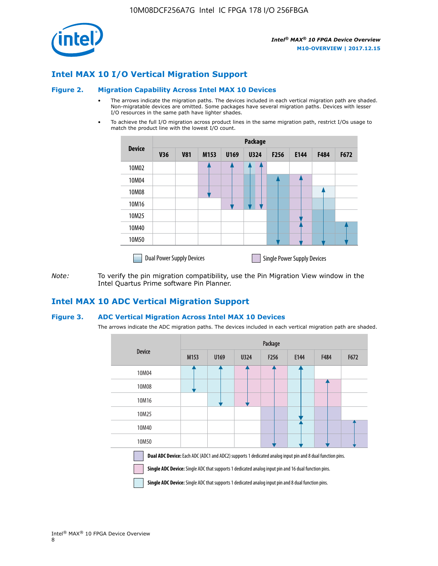

## **Intel MAX 10 I/O Vertical Migration Support**

#### **Figure 2. Migration Capability Across Intel MAX 10 Devices**

- The arrows indicate the migration paths. The devices included in each vertical migration path are shaded. Non-migratable devices are omitted. Some packages have several migration paths. Devices with lesser I/O resources in the same path have lighter shades.
- To achieve the full I/O migration across product lines in the same migration path, restrict I/Os usage to match the product line with the lowest I/O count.

|               | Package                          |            |      |      |             |                  |                                    |      |      |  |
|---------------|----------------------------------|------------|------|------|-------------|------------------|------------------------------------|------|------|--|
| <b>Device</b> | <b>V36</b>                       | <b>V81</b> | M153 | U169 | <b>U324</b> | F <sub>256</sub> | E144                               | F484 | F672 |  |
| 10M02         |                                  |            |      |      | 7           |                  |                                    |      |      |  |
| 10M04         |                                  |            |      |      |             |                  |                                    |      |      |  |
| 10M08         |                                  |            |      |      |             |                  |                                    |      |      |  |
| 10M16         |                                  |            |      |      |             |                  |                                    |      |      |  |
| 10M25         |                                  |            |      |      |             |                  |                                    |      |      |  |
| 10M40         |                                  |            |      |      |             |                  |                                    |      |      |  |
| 10M50         |                                  |            |      |      |             |                  |                                    |      |      |  |
|               | <b>Dual Power Supply Devices</b> |            |      |      |             |                  | <b>Single Power Supply Devices</b> |      |      |  |

*Note:* To verify the pin migration compatibility, use the Pin Migration View window in the Intel Quartus Prime software Pin Planner.

### **Intel MAX 10 ADC Vertical Migration Support**

#### **Figure 3. ADC Vertical Migration Across Intel MAX 10 Devices**

The arrows indicate the ADC migration paths. The devices included in each vertical migration path are shaded.

|                                                                                                                                                                                                                  | Package          |      |      |                  |      |      |      |  |  |
|------------------------------------------------------------------------------------------------------------------------------------------------------------------------------------------------------------------|------------------|------|------|------------------|------|------|------|--|--|
| <b>Device</b>                                                                                                                                                                                                    | M <sub>153</sub> | U169 | U324 | F <sub>256</sub> | E144 | F484 | F672 |  |  |
| 10M04                                                                                                                                                                                                            |                  |      |      |                  |      |      |      |  |  |
| 10M08                                                                                                                                                                                                            |                  |      |      |                  |      |      |      |  |  |
| 10M16                                                                                                                                                                                                            |                  |      |      |                  |      |      |      |  |  |
| 10M25                                                                                                                                                                                                            |                  |      |      |                  |      |      |      |  |  |
| 10M40                                                                                                                                                                                                            |                  |      |      |                  |      |      |      |  |  |
| 10M50                                                                                                                                                                                                            |                  |      |      |                  |      |      |      |  |  |
| Dual ADC Device: Each ADC (ADC1 and ADC2) supports 1 dedicated analog input pin and 8 dual function pins.<br>Single ADC Device: Single ADC that supports 1 dedicated analog input pin and 16 dual function pins. |                  |      |      |                  |      |      |      |  |  |

**Single ADC Device:** Single ADC that supports 1 dedicated analog input pin and 8 dual function pins.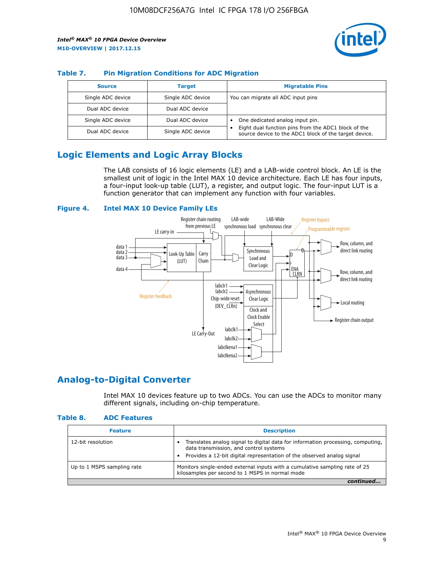

#### **Table 7. Pin Migration Conditions for ADC Migration**

| <b>Source</b>     | <b>Target</b>     | <b>Migratable Pins</b>                                                                                            |
|-------------------|-------------------|-------------------------------------------------------------------------------------------------------------------|
| Single ADC device | Single ADC device | You can migrate all ADC input pins                                                                                |
| Dual ADC device   | Dual ADC device   |                                                                                                                   |
| Single ADC device | Dual ADC device   | One dedicated analog input pin.                                                                                   |
| Dual ADC device   | Single ADC device | Eight dual function pins from the ADC1 block of the<br>٠<br>source device to the ADC1 block of the target device. |

## **Logic Elements and Logic Array Blocks**

The LAB consists of 16 logic elements (LE) and a LAB-wide control block. An LE is the smallest unit of logic in the Intel MAX 10 device architecture. Each LE has four inputs, a four-input look-up table (LUT), a register, and output logic. The four-input LUT is a function generator that can implement any function with four variables.

#### **Figure 4. Intel MAX 10 Device Family LEs**



### **Analog-to-Digital Converter**

Intel MAX 10 devices feature up to two ADCs. You can use the ADCs to monitor many different signals, including on-chip temperature.

#### **Table 8. ADC Features**

| <b>Feature</b>             | <b>Description</b>                                                                                                                                                                                  |
|----------------------------|-----------------------------------------------------------------------------------------------------------------------------------------------------------------------------------------------------|
| 12-bit resolution          | Translates analog signal to digital data for information processing, computing,<br>data transmission, and control systems<br>Provides a 12-bit digital representation of the observed analog signal |
| Up to 1 MSPS sampling rate | Monitors single-ended external inputs with a cumulative sampling rate of 25<br>kilosamples per second to 1 MSPS in normal mode                                                                      |
|                            |                                                                                                                                                                                                     |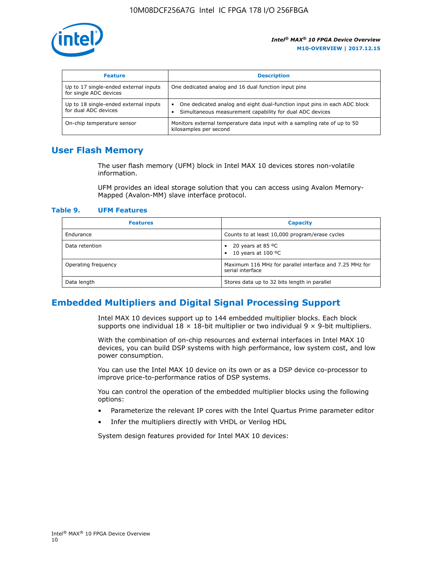

| <b>Feature</b>                                                  | <b>Description</b>                                                                                                                         |
|-----------------------------------------------------------------|--------------------------------------------------------------------------------------------------------------------------------------------|
| Up to 17 single-ended external inputs<br>for single ADC devices | One dedicated analog and 16 dual function input pins                                                                                       |
| Up to 18 single-ended external inputs<br>for dual ADC devices   | One dedicated analog and eight dual-function input pins in each ADC block<br>٠<br>Simultaneous measurement capability for dual ADC devices |
| On-chip temperature sensor                                      | Monitors external temperature data input with a sampling rate of up to 50<br>kilosamples per second                                        |

## **User Flash Memory**

The user flash memory (UFM) block in Intel MAX 10 devices stores non-volatile information.

UFM provides an ideal storage solution that you can access using Avalon Memory-Mapped (Avalon-MM) slave interface protocol.

#### **Table 9. UFM Features**

| <b>Features</b>     | <b>Capacity</b>                                                             |
|---------------------|-----------------------------------------------------------------------------|
| Endurance           | Counts to at least 10,000 program/erase cycles                              |
| Data retention      | 20 years at 85 $^{\circ}$ C<br>٠<br>10 years at 100 °C<br>$\bullet$         |
| Operating frequency | Maximum 116 MHz for parallel interface and 7.25 MHz for<br>serial interface |
| Data length         | Stores data up to 32 bits length in parallel                                |

## **Embedded Multipliers and Digital Signal Processing Support**

Intel MAX 10 devices support up to 144 embedded multiplier blocks. Each block supports one individual  $18 \times 18$ -bit multiplier or two individual  $9 \times 9$ -bit multipliers.

With the combination of on-chip resources and external interfaces in Intel MAX 10 devices, you can build DSP systems with high performance, low system cost, and low power consumption.

You can use the Intel MAX 10 device on its own or as a DSP device co-processor to improve price-to-performance ratios of DSP systems.

You can control the operation of the embedded multiplier blocks using the following options:

- Parameterize the relevant IP cores with the Intel Quartus Prime parameter editor
- Infer the multipliers directly with VHDL or Verilog HDL

System design features provided for Intel MAX 10 devices: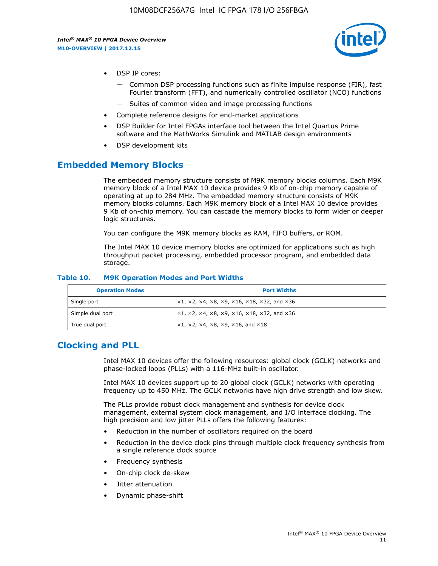

- DSP IP cores:
	- Common DSP processing functions such as finite impulse response (FIR), fast Fourier transform (FFT), and numerically controlled oscillator (NCO) functions
	- Suites of common video and image processing functions
- Complete reference designs for end-market applications
- DSP Builder for Intel FPGAs interface tool between the Intel Quartus Prime software and the MathWorks Simulink and MATLAB design environments
- DSP development kits

## **Embedded Memory Blocks**

The embedded memory structure consists of M9K memory blocks columns. Each M9K memory block of a Intel MAX 10 device provides 9 Kb of on-chip memory capable of operating at up to 284 MHz. The embedded memory structure consists of M9K memory blocks columns. Each M9K memory block of a Intel MAX 10 device provides 9 Kb of on-chip memory. You can cascade the memory blocks to form wider or deeper logic structures.

You can configure the M9K memory blocks as RAM, FIFO buffers, or ROM.

The Intel MAX 10 device memory blocks are optimized for applications such as high throughput packet processing, embedded processor program, and embedded data storage.

| <b>Operation Modes</b> | <b>Port Widths</b>                                                                       |
|------------------------|------------------------------------------------------------------------------------------|
| Single port            | $x1, x2, x4, x8, x9, x16, x18, x32, and x36$                                             |
| Simple dual port       | $x1, x2, x4, x8, x9, x16, x18, x32, and x36$                                             |
| True dual port         | $\times$ 1, $\times$ 2, $\times$ 4, $\times$ 8, $\times$ 9, $\times$ 16, and $\times$ 18 |

#### **Table 10. M9K Operation Modes and Port Widths**

## **Clocking and PLL**

Intel MAX 10 devices offer the following resources: global clock (GCLK) networks and phase-locked loops (PLLs) with a 116-MHz built-in oscillator.

Intel MAX 10 devices support up to 20 global clock (GCLK) networks with operating frequency up to 450 MHz. The GCLK networks have high drive strength and low skew.

The PLLs provide robust clock management and synthesis for device clock management, external system clock management, and I/O interface clocking. The high precision and low jitter PLLs offers the following features:

- Reduction in the number of oscillators required on the board
- Reduction in the device clock pins through multiple clock frequency synthesis from a single reference clock source
- Frequency synthesis
- On-chip clock de-skew
- Jitter attenuation
- Dynamic phase-shift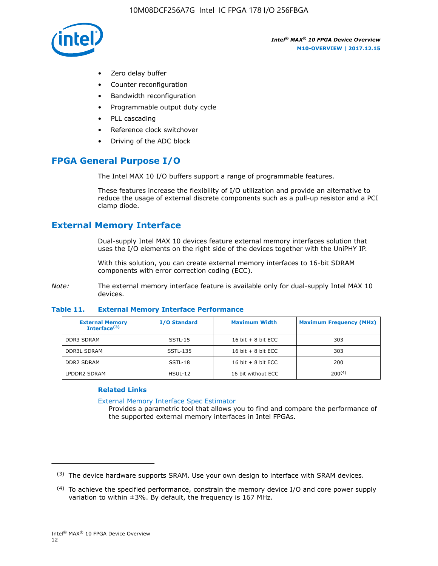

- Zero delay buffer
- Counter reconfiguration
- Bandwidth reconfiguration
- Programmable output duty cycle
- PLL cascading
- Reference clock switchover
- Driving of the ADC block

## **FPGA General Purpose I/O**

The Intel MAX 10 I/O buffers support a range of programmable features.

These features increase the flexibility of I/O utilization and provide an alternative to reduce the usage of external discrete components such as a pull-up resistor and a PCI clamp diode.

## **External Memory Interface**

Dual-supply Intel MAX 10 devices feature external memory interfaces solution that uses the I/O elements on the right side of the devices together with the UniPHY IP.

With this solution, you can create external memory interfaces to 16-bit SDRAM components with error correction coding (ECC).

*Note:* The external memory interface feature is available only for dual-supply Intel MAX 10 devices.

#### **Table 11. External Memory Interface Performance**

| <b>External Memory</b><br>Interface $(3)$ | <b>I/O Standard</b> | <b>Maximum Width</b> | <b>Maximum Frequency (MHz)</b> |
|-------------------------------------------|---------------------|----------------------|--------------------------------|
| <b>DDR3 SDRAM</b>                         | SSTL-15             | 16 bit $+8$ bit ECC  | 303                            |
| <b>DDR3L SDRAM</b>                        | SSTL-135            | 16 bit $+8$ bit ECC  | 303                            |
| <b>DDR2 SDRAM</b>                         | SSTL-18             | 16 bit $+8$ bit ECC  | 200                            |
| LPDDR2 SDRAM                              | $H$ SUL-12          | 16 bit without ECC   | $200^{(4)}$                    |

#### **Related Links**

[External Memory Interface Spec Estimator](http://www.altera.com/technology/memory/estimator/mem-emif-index.html)

Provides a parametric tool that allows you to find and compare the performance of the supported external memory interfaces in Intel FPGAs.

 $(3)$  The device hardware supports SRAM. Use your own design to interface with SRAM devices.

 $(4)$  To achieve the specified performance, constrain the memory device I/O and core power supply variation to within ±3%. By default, the frequency is 167 MHz.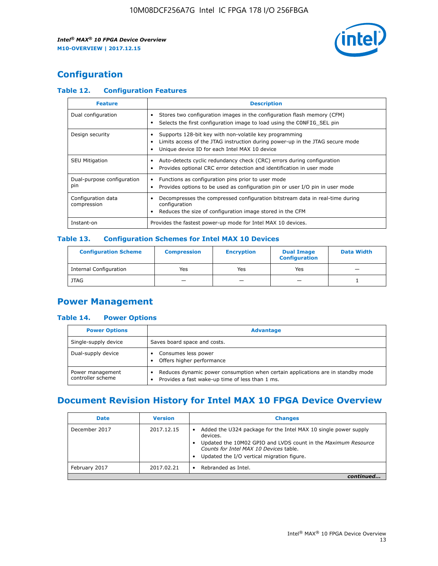

## **Configuration**

#### **Table 12. Configuration Features**

| <b>Feature</b>                    | <b>Description</b>                                                                                                                                                                       |
|-----------------------------------|------------------------------------------------------------------------------------------------------------------------------------------------------------------------------------------|
| Dual configuration                | Stores two configuration images in the configuration flash memory (CFM)<br>Selects the first configuration image to load using the CONFIG SEL pin                                        |
| Design security                   | Supports 128-bit key with non-volatile key programming<br>Limits access of the JTAG instruction during power-up in the JTAG secure mode<br>Unique device ID for each Intel MAX 10 device |
| <b>SEU Mitigation</b>             | Auto-detects cyclic redundancy check (CRC) errors during configuration<br>Provides optional CRC error detection and identification in user mode                                          |
| Dual-purpose configuration<br>pin | Functions as configuration pins prior to user mode<br>Provides options to be used as configuration pin or user I/O pin in user mode                                                      |
| Configuration data<br>compression | Decompresses the compressed configuration bitstream data in real-time during<br>configuration<br>Reduces the size of configuration image stored in the CFM                               |
| Instant-on                        | Provides the fastest power-up mode for Intel MAX 10 devices.                                                                                                                             |

#### **Table 13. Configuration Schemes for Intel MAX 10 Devices**

| <b>Configuration Scheme</b>   | <b>Compression</b>       | <b>Encryption</b> | <b>Dual Image</b><br><b>Configuration</b> | <b>Data Width</b> |
|-------------------------------|--------------------------|-------------------|-------------------------------------------|-------------------|
| <b>Internal Configuration</b> | Yes                      | Yes               | Yes                                       |                   |
| <b>JTAG</b>                   | $\overline{\phantom{a}}$ |                   | -                                         |                   |

## **Power Management**

#### **Table 14. Power Options**

| <b>Power Options</b>                  | <b>Advantage</b>                                                                                                                        |
|---------------------------------------|-----------------------------------------------------------------------------------------------------------------------------------------|
| Single-supply device                  | Saves board space and costs.                                                                                                            |
| Dual-supply device                    | Consumes less power<br>Offers higher performance<br>$\bullet$                                                                           |
| Power management<br>controller scheme | Reduces dynamic power consumption when certain applications are in standby mode<br>Provides a fast wake-up time of less than 1 ms.<br>٠ |

## **Document Revision History for Intel MAX 10 FPGA Device Overview**

| <b>Date</b>   | <b>Version</b> | <b>Changes</b>                                                                                                                                                                                                                       |
|---------------|----------------|--------------------------------------------------------------------------------------------------------------------------------------------------------------------------------------------------------------------------------------|
| December 2017 | 2017.12.15     | Added the U324 package for the Intel MAX 10 single power supply<br>devices.<br>Updated the 10M02 GPIO and LVDS count in the Maximum Resource<br>Counts for Intel MAX 10 Devices table.<br>Updated the I/O vertical migration figure. |
| February 2017 | 2017.02.21     | Rebranded as Intel.                                                                                                                                                                                                                  |
|               |                |                                                                                                                                                                                                                                      |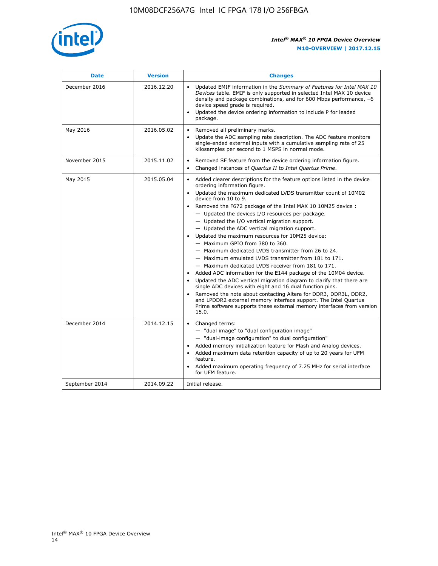

| <b>Date</b>    | <b>Version</b> | <b>Changes</b>                                                                                                                                                                                                                                                                                                                                                                                                                                                                                                                                                                                                                                                                                                                                                                                                                                                                                                                                                                                                                                                                                                                                             |
|----------------|----------------|------------------------------------------------------------------------------------------------------------------------------------------------------------------------------------------------------------------------------------------------------------------------------------------------------------------------------------------------------------------------------------------------------------------------------------------------------------------------------------------------------------------------------------------------------------------------------------------------------------------------------------------------------------------------------------------------------------------------------------------------------------------------------------------------------------------------------------------------------------------------------------------------------------------------------------------------------------------------------------------------------------------------------------------------------------------------------------------------------------------------------------------------------------|
| December 2016  | 2016.12.20     | • Updated EMIF information in the Summary of Features for Intel MAX 10<br>Devices table. EMIF is only supported in selected Intel MAX 10 device<br>density and package combinations, and for 600 Mbps performance, -6<br>device speed grade is required.<br>Updated the device ordering information to include P for leaded<br>package.                                                                                                                                                                                                                                                                                                                                                                                                                                                                                                                                                                                                                                                                                                                                                                                                                    |
| May 2016       | 2016.05.02     | Removed all preliminary marks.<br>Update the ADC sampling rate description. The ADC feature monitors<br>$\bullet$<br>single-ended external inputs with a cumulative sampling rate of 25<br>kilosamples per second to 1 MSPS in normal mode.                                                                                                                                                                                                                                                                                                                                                                                                                                                                                                                                                                                                                                                                                                                                                                                                                                                                                                                |
| November 2015  | 2015.11.02     | Removed SF feature from the device ordering information figure.<br>$\bullet$<br>Changed instances of Quartus II to Intel Quartus Prime.<br>$\bullet$                                                                                                                                                                                                                                                                                                                                                                                                                                                                                                                                                                                                                                                                                                                                                                                                                                                                                                                                                                                                       |
| May 2015       | 2015.05.04     | Added clearer descriptions for the feature options listed in the device<br>$\bullet$<br>ordering information figure.<br>Updated the maximum dedicated LVDS transmitter count of 10M02<br>$\bullet$<br>device from 10 to 9.<br>Removed the F672 package of the Intel MAX 10 10M25 device :<br>$-$ Updated the devices I/O resources per package.<br>$-$ Updated the I/O vertical migration support.<br>- Updated the ADC vertical migration support.<br>Updated the maximum resources for 10M25 device:<br>- Maximum GPIO from 380 to 360.<br>- Maximum dedicated LVDS transmitter from 26 to 24.<br>- Maximum emulated LVDS transmitter from 181 to 171.<br>- Maximum dedicated LVDS receiver from 181 to 171.<br>Added ADC information for the E144 package of the 10M04 device.<br>$\bullet$<br>Updated the ADC vertical migration diagram to clarify that there are<br>single ADC devices with eight and 16 dual function pins.<br>Removed the note about contacting Altera for DDR3, DDR3L, DDR2,<br>and LPDDR2 external memory interface support. The Intel Quartus<br>Prime software supports these external memory interfaces from version<br>15.0. |
| December 2014  | 2014.12.15     | Changed terms:<br>$\bullet$<br>- "dual image" to "dual configuration image"<br>- "dual-image configuration" to dual configuration"<br>Added memory initialization feature for Flash and Analog devices.<br>$\bullet$<br>Added maximum data retention capacity of up to 20 years for UFM<br>$\bullet$<br>feature.<br>Added maximum operating frequency of 7.25 MHz for serial interface<br>for UFM feature.                                                                                                                                                                                                                                                                                                                                                                                                                                                                                                                                                                                                                                                                                                                                                 |
| September 2014 | 2014.09.22     | Initial release.                                                                                                                                                                                                                                                                                                                                                                                                                                                                                                                                                                                                                                                                                                                                                                                                                                                                                                                                                                                                                                                                                                                                           |